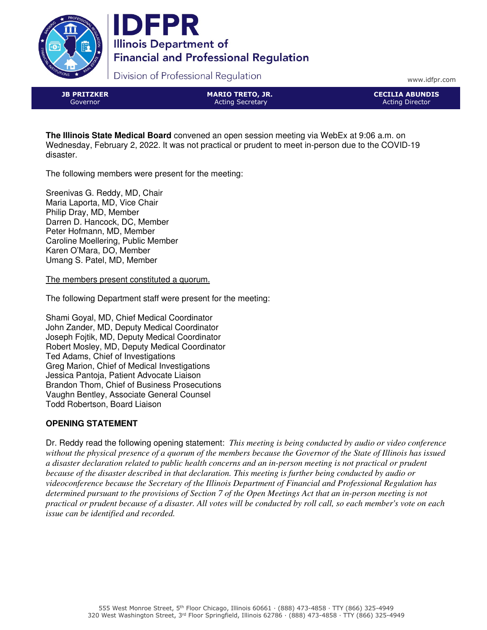



Division of Professional Regulation

www.idfpr.com

JB PRITZKER Governor

MARIO TRETO, JR. Acting Secretary

CECILIA ABUNDIS Acting Director

**The Illinois State Medical Board** convened an open session meeting via WebEx at 9:06 a.m. on Wednesday, February 2, 2022. It was not practical or prudent to meet in-person due to the COVID-19 disaster.

The following members were present for the meeting:

Sreenivas G. Reddy, MD, Chair Maria Laporta, MD, Vice Chair Philip Dray, MD, Member Darren D. Hancock, DC, Member Peter Hofmann, MD, Member Caroline Moellering, Public Member Karen O'Mara, DO, Member Umang S. Patel, MD, Member

The members present constituted a quorum.

The following Department staff were present for the meeting:

Shami Goyal, MD, Chief Medical Coordinator John Zander, MD, Deputy Medical Coordinator Joseph Fojtik, MD, Deputy Medical Coordinator Robert Mosley, MD, Deputy Medical Coordinator Ted Adams, Chief of Investigations Greg Marion, Chief of Medical Investigations Jessica Pantoja, Patient Advocate Liaison Brandon Thom, Chief of Business Prosecutions Vaughn Bentley, Associate General Counsel Todd Robertson, Board Liaison

# **OPENING STATEMENT**

Dr. Reddy read the following opening statement: *This meeting is being conducted by audio or video conference without the physical presence of a quorum of the members because the Governor of the State of Illinois has issued a disaster declaration related to public health concerns and an in-person meeting is not practical or prudent because of the disaster described in that declaration. This meeting is further being conducted by audio or videoconference because the Secretary of the Illinois Department of Financial and Professional Regulation has determined pursuant to the provisions of Section 7 of the Open Meetings Act that an in-person meeting is not practical or prudent because of a disaster. All votes will be conducted by roll call, so each member's vote on each issue can be identified and recorded.*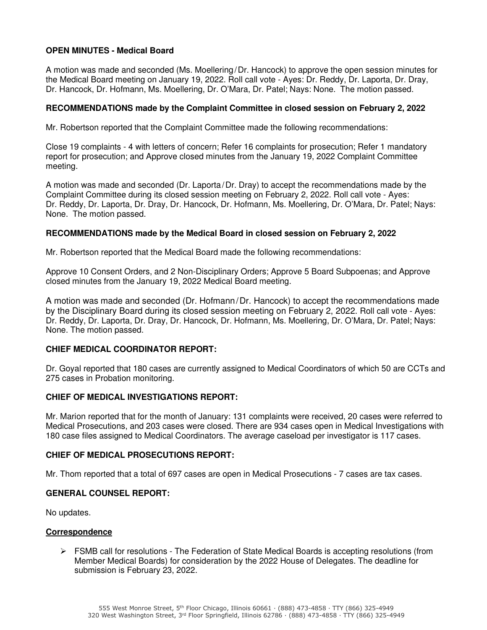# **OPEN MINUTES - Medical Board**

A motion was made and seconded (Ms. Moellering/Dr. Hancock) to approve the open session minutes for the Medical Board meeting on January 19, 2022. Roll call vote - Ayes: Dr. Reddy, Dr. Laporta, Dr. Dray, Dr. Hancock, Dr. Hofmann, Ms. Moellering, Dr. O'Mara, Dr. Patel; Nays: None. The motion passed.

### **RECOMMENDATIONS made by the Complaint Committee in closed session on February 2, 2022**

Mr. Robertson reported that the Complaint Committee made the following recommendations:

Close 19 complaints - 4 with letters of concern; Refer 16 complaints for prosecution; Refer 1 mandatory report for prosecution; and Approve closed minutes from the January 19, 2022 Complaint Committee meeting.

A motion was made and seconded (Dr. Laporta/Dr. Dray) to accept the recommendations made by the Complaint Committee during its closed session meeting on February 2, 2022. Roll call vote - Ayes: Dr. Reddy, Dr. Laporta, Dr. Dray, Dr. Hancock, Dr. Hofmann, Ms. Moellering, Dr. O'Mara, Dr. Patel; Nays: None. The motion passed.

### **RECOMMENDATIONS made by the Medical Board in closed session on February 2, 2022**

Mr. Robertson reported that the Medical Board made the following recommendations:

Approve 10 Consent Orders, and 2 Non-Disciplinary Orders; Approve 5 Board Subpoenas; and Approve closed minutes from the January 19, 2022 Medical Board meeting.

A motion was made and seconded (Dr. Hofmann/Dr. Hancock) to accept the recommendations made by the Disciplinary Board during its closed session meeting on February 2, 2022. Roll call vote - Ayes: Dr. Reddy, Dr. Laporta, Dr. Dray, Dr. Hancock, Dr. Hofmann, Ms. Moellering, Dr. O'Mara, Dr. Patel; Nays: None. The motion passed.

### **CHIEF MEDICAL COORDINATOR REPORT:**

Dr. Goyal reported that 180 cases are currently assigned to Medical Coordinators of which 50 are CCTs and 275 cases in Probation monitoring.

### **CHIEF OF MEDICAL INVESTIGATIONS REPORT:**

Mr. Marion reported that for the month of January: 131 complaints were received, 20 cases were referred to Medical Prosecutions, and 203 cases were closed. There are 934 cases open in Medical Investigations with 180 case files assigned to Medical Coordinators. The average caseload per investigator is 117 cases.

# **CHIEF OF MEDICAL PROSECUTIONS REPORT:**

Mr. Thom reported that a total of 697 cases are open in Medical Prosecutions - 7 cases are tax cases.

#### **GENERAL COUNSEL REPORT:**

No updates.

### **Correspondence**

 FSMB call for resolutions - The Federation of State Medical Boards is accepting resolutions (from Member Medical Boards) for consideration by the 2022 House of Delegates. The deadline for submission is February 23, 2022.